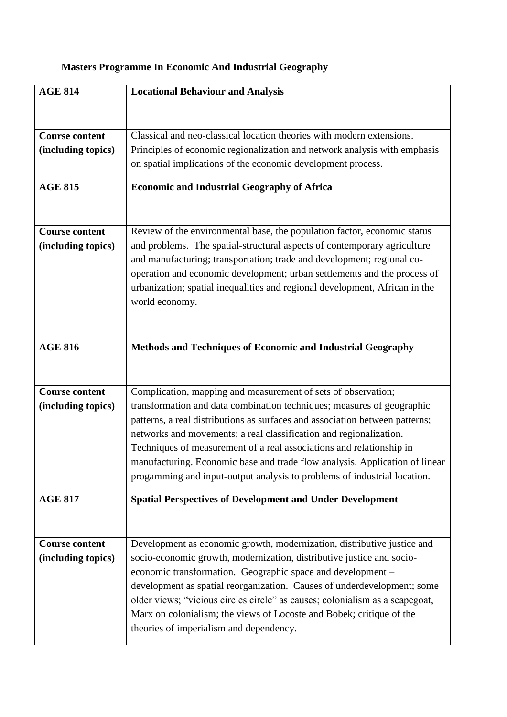| <b>Masters Programme In Economic And Industrial Geography</b> |  |  |  |
|---------------------------------------------------------------|--|--|--|
|                                                               |  |  |  |

| <b>AGE 814</b>        | <b>Locational Behaviour and Analysis</b>                                                                                                           |
|-----------------------|----------------------------------------------------------------------------------------------------------------------------------------------------|
|                       |                                                                                                                                                    |
|                       |                                                                                                                                                    |
| <b>Course content</b> | Classical and neo-classical location theories with modern extensions.                                                                              |
| (including topics)    | Principles of economic regionalization and network analysis with emphasis                                                                          |
|                       | on spatial implications of the economic development process.                                                                                       |
|                       |                                                                                                                                                    |
| <b>AGE 815</b>        | <b>Economic and Industrial Geography of Africa</b>                                                                                                 |
|                       |                                                                                                                                                    |
| <b>Course content</b> |                                                                                                                                                    |
|                       | Review of the environmental base, the population factor, economic status                                                                           |
| (including topics)    | and problems. The spatial-structural aspects of contemporary agriculture<br>and manufacturing; transportation; trade and development; regional co- |
|                       | operation and economic development; urban settlements and the process of                                                                           |
|                       | urbanization; spatial inequalities and regional development, African in the                                                                        |
|                       | world economy.                                                                                                                                     |
|                       |                                                                                                                                                    |
|                       |                                                                                                                                                    |
|                       |                                                                                                                                                    |
| <b>AGE 816</b>        | Methods and Techniques of Economic and Industrial Geography                                                                                        |
|                       |                                                                                                                                                    |
| <b>Course content</b> | Complication, mapping and measurement of sets of observation;                                                                                      |
|                       | transformation and data combination techniques; measures of geographic                                                                             |
| (including topics)    | patterns, a real distributions as surfaces and association between patterns;                                                                       |
|                       | networks and movements; a real classification and regionalization.                                                                                 |
|                       | Techniques of measurement of a real associations and relationship in                                                                               |
|                       | manufacturing. Economic base and trade flow analysis. Application of linear                                                                        |
|                       | progamming and input-output analysis to problems of industrial location.                                                                           |
|                       |                                                                                                                                                    |
| <b>AGE 817</b>        | <b>Spatial Perspectives of Development and Under Development</b>                                                                                   |
|                       |                                                                                                                                                    |
|                       |                                                                                                                                                    |
| <b>Course content</b> | Development as economic growth, modernization, distributive justice and                                                                            |
| (including topics)    | socio-economic growth, modernization, distributive justice and socio-                                                                              |
|                       | economic transformation. Geographic space and development –                                                                                        |
|                       | development as spatial reorganization. Causes of underdevelopment; some                                                                            |
|                       | older views; "vicious circles circle" as causes; colonialism as a scapegoat,                                                                       |
|                       | Marx on colonialism; the views of Locoste and Bobek; critique of the                                                                               |
|                       | theories of imperialism and dependency.                                                                                                            |
|                       |                                                                                                                                                    |